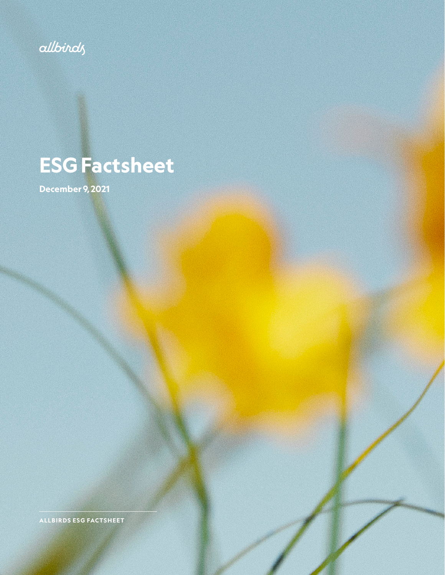

# **ESG Factsheet**

**December 9, 2021**

**ALLBIRDS ESG FACTSHEET**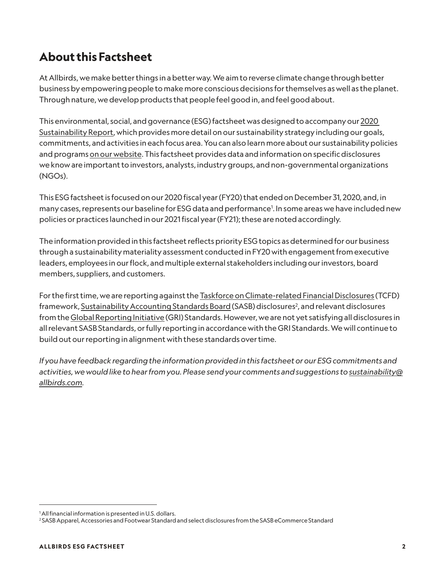## **About this Factsheet**

At Allbirds, we make better things in a better way. We aim to reverse climate change through better business by empowering people to make more conscious decisions for themselves as well as the planet. Through nature, we develop products that people feel good in, and feel good about.

This environmental, social, and governance (ESG) factsheet was designed to accompany our [2020](https://cdn.allbirds.com/image/upload/v1625161698/marketing-pages/Allbirds_Sustainability_Report_2020.pdf)  [Sustainability Report](https://cdn.allbirds.com/image/upload/v1625161698/marketing-pages/Allbirds_Sustainability_Report_2020.pdf), which provides more detail on our sustainability strategy including our goals, commitments, and activities in each focus area. You can also learn more about our sustainability policies and programs [on our website.](https://www.allbirds.ca/pages/sustainable-practices) This factsheet provides data and information on specific disclosures we know are important to investors, analysts, industry groups, and non-governmental organizations (NGOs).

This ESG factsheet is focused on our 2020 fiscal year (FY20) that ended on December 31, 2020, and, in many cases, represents our baseline for ESG data and performance1 . In some areas we have included new policies or practices launched in our 2021 fiscal year (FY21); these are noted accordingly.

The information provided in this factsheet reflects priority ESG topics as determined for our business through a sustainability materiality assessment conducted in FY20 with engagement from executive leaders, employees in our flock, and multiple external stakeholders including our investors, board members, suppliers, and customers.

For the first time, we are reporting against the [Taskforce on Climate-related Financial Disclosures](https://www.fsb-tcfd.org/) (TCFD) framework, <u>Sustainability Accounting Standards Board</u> (SASB) disclosures<sup>2</sup>, and relevant disclosures from the [Global Reporting Initiative](https://www.globalreporting.org/) (GRI) Standards. However, we are not yet satisfying all disclosures in all relevant SASB Standards, or fully reporting in accordance with the GRI Standards. We will continue to build out our reporting in alignment with these standards over time.

*If you have feedback regarding the information provided in this factsheet or our ESG commitments and activities, we would like to hear from you. Please send your comments and suggestions to [sustainability@](mailto:sustainability@allbirds.com) [allbirds.com](mailto:sustainability@allbirds.com).*

<sup>1</sup> All financial information is presented in U.S. dollars.

<sup>2</sup> SASB Apparel, Accessories and Footwear Standard and select disclosures from the SASB eCommerce Standard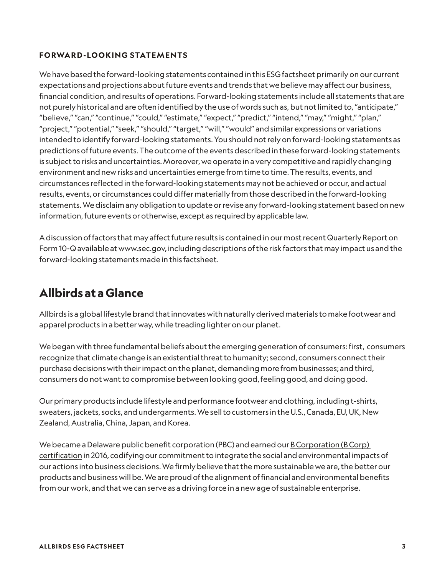#### **FORWARD -LOOKING STATEMENTS**

We have based the forward-looking statements contained in this ESG factsheet primarily on our current expectations and projections about future events and trends that we believe may affect our business, financial condition, and results of operations. Forward-looking statements include all statements that are not purely historical and are often identified by the use of words such as, but not limited to, "anticipate," "believe," "can," "continue," "could," "estimate," "expect," "predict," "intend," "may," "might," "plan," "project," "potential," "seek," "should," "target," "will," "would" and similar expressions or variations intended to identify forward-looking statements. You should not rely on forward-looking statements as predictions of future events. The outcome of the events described in these forward-looking statements is subject to risks and uncertainties. Moreover, we operate in a very competitive and rapidly changing environment and new risks and uncertainties emerge from time to time. The results, events, and circumstances reflected in the forward-looking statements may not be achieved or occur, and actual results, events, or circumstances could differ materially from those described in the forward-looking statements. We disclaim any obligation to update or revise any forward-looking statement based on new information, future events or otherwise, except as required by applicable law.

A discussion of factors that may affect future results is contained in our most recent Quarterly Report on Form 10-Q available at www.sec.gov, including descriptions of the risk factors that may impact us and the forward-looking statements made in this factsheet.

### **Allbirds at a Glance**

Allbirds is a global lifestyle brand that innovates with naturally derived materials to make footwear and apparel products in a better way, while treading lighter on our planet.

We began with three fundamental beliefs about the emerging generation of consumers: first, consumers recognize that climate change is an existential threat to humanity; second, consumers connect their purchase decisions with their impact on the planet, demanding more from businesses; and third, consumers do not want to compromise between looking good, feeling good, and doing good.

Our primary products include lifestyle and performance footwear and clothing, including t-shirts, sweaters, jackets, socks, and undergarments. We sell to customers in the U.S., Canada, EU, UK, New Zealand, Australia, China, Japan, and Korea.

We became a Delaware public benefit corporation (PBC) and earned our **B** Corporation (B Corp) [certification](https://bcorporation.net/) in 2016, codifying our commitment to integrate the social and environmental impacts of our actions into business decisions. We firmly believe that the more sustainable we are, the better our products and business will be. We are proud of the alignment of financial and environmental benefits from our work, and that we can serve as a driving force in a new age of sustainable enterprise.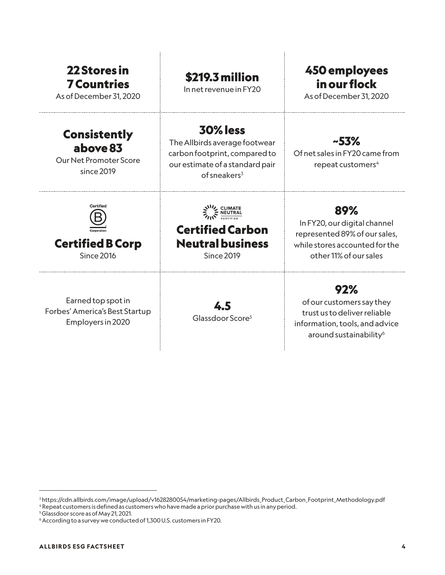| <b>22 Stores in</b><br><b>7 Countries</b><br>As of December 31, 2020                              | <b>\$219.3 million</b><br>In net revenue in FY20                                                                                        | 450 employees<br>in our flock<br>As of December 31, 2020                                                                         |
|---------------------------------------------------------------------------------------------------|-----------------------------------------------------------------------------------------------------------------------------------------|----------------------------------------------------------------------------------------------------------------------------------|
| <b>Consistently</b><br>above 83<br>Our Net Promoter Score<br>since 2019                           | <b>30% less</b><br>The Allbirds average footwear<br>carbon footprint, compared to<br>our estimate of a standard pair<br>of sneakers $3$ | $-53%$<br>Of net sales in FY20 came from<br>repeat customers <sup>4</sup>                                                        |
| Certified<br>Corporation<br><b>Certified B Corp</b><br><b>Since 2016</b>                          | AVA CLIMATE<br><b>Certified Carbon</b><br><b>Neutral business</b><br><b>Since 2019</b>                                                  | 89%<br>In FY20, our digital channel<br>represented 89% of our sales,<br>while stores accounted for the<br>other 11% of our sales |
| Earned top spot in<br>$\Gamma$ and and American control $\Gamma$ and $\Gamma$ the set of $\Gamma$ | 4.5                                                                                                                                     | 92%<br>of our customers say they                                                                                                 |

Forbes' America's Best Startup Employers in 2020

4.5 Glassdoor Score<sup>5</sup>

trust us to deliver reliable information, tools, and advice around sustainability<sup>6</sup>

<sup>3</sup> https://cdn.allbirds.com/image/upload/v1628280054/marketing-pages/Allbirds\_Product\_Carbon\_Footprint\_Methodology.pdf

<sup>4</sup> Repeat customers is defined as customers who have made a prior purchase with us in any period.

<sup>5</sup> Glassdoor score as of May 21, 2021.

<sup>6</sup> According to a survey we conducted of 1,300 U.S. customers in FY20.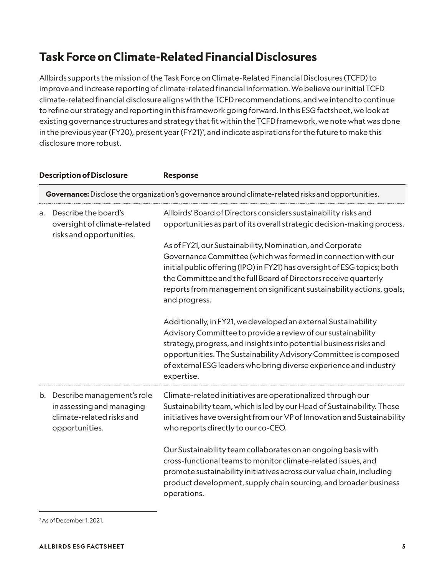## **Task Force on Climate-Related Financial Disclosures**

Allbirds supports the mission of the Task Force on Climate-Related Financial Disclosures (TCFD) to improve and increase reporting of climate-related financial information. We believe our initial TCFD climate-related financial disclosure aligns with the TCFD recommendations, and we intend to continue to refine our strategy and reporting in this framework going forward. In this ESG factsheet, we look at existing governance structures and strategy that fit within the TCFD framework, we note what was done in the previous year (FY20), present year (FY21)7 , and indicate aspirations for the future to make this disclosure more robust.

|    | <b>Description of Disclosure</b>                                                                          | <b>Response</b>                                                                                                                                                                                                                                                                                                                                                     |
|----|-----------------------------------------------------------------------------------------------------------|---------------------------------------------------------------------------------------------------------------------------------------------------------------------------------------------------------------------------------------------------------------------------------------------------------------------------------------------------------------------|
|    |                                                                                                           | Governance: Disclose the organization's governance around climate-related risks and opportunities.                                                                                                                                                                                                                                                                  |
| a. | Describe the board's<br>oversight of climate-related<br>risks and opportunities.                          | Allbirds' Board of Directors considers sustainability risks and<br>opportunities as part of its overall strategic decision-making process.                                                                                                                                                                                                                          |
|    |                                                                                                           | As of FY21, our Sustainability, Nomination, and Corporate<br>Governance Committee (which was formed in connection with our<br>initial public offering (IPO) in FY21) has oversight of ESG topics; both<br>the Committee and the full Board of Directors receive quarterly<br>reports from management on significant sustainability actions, goals,<br>and progress. |
|    |                                                                                                           | Additionally, in FY21, we developed an external Sustainability<br>Advisory Committee to provide a review of our sustainability<br>strategy, progress, and insights into potential business risks and<br>opportunities. The Sustainability Advisory Committee is composed<br>of external ESG leaders who bring diverse experience and industry<br>expertise.         |
|    | b. Describe management's role<br>in assessing and managing<br>climate-related risks and<br>opportunities. | Climate-related initiatives are operationalized through our<br>Sustainability team, which is led by our Head of Sustainability. These<br>initiatives have oversight from our VP of Innovation and Sustainability<br>who reports directly to our co-CEO.                                                                                                             |
|    |                                                                                                           | Our Sustainability team collaborates on an ongoing basis with<br>cross-functional teams to monitor climate-related issues, and<br>promote sustainability initiatives across our value chain, including<br>product development, supply chain sourcing, and broader business<br>operations.                                                                           |

<sup>7</sup> As of December 1, 2021.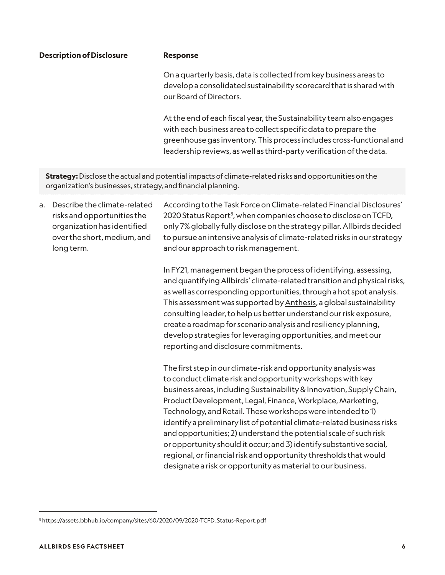|    | <b>Description of Disclosure</b>                                                                                                        | <b>Response</b>                                                                                                                                                                                                                                                                                                                                                                                                                                                                                                                                                                                                                                                                                |
|----|-----------------------------------------------------------------------------------------------------------------------------------------|------------------------------------------------------------------------------------------------------------------------------------------------------------------------------------------------------------------------------------------------------------------------------------------------------------------------------------------------------------------------------------------------------------------------------------------------------------------------------------------------------------------------------------------------------------------------------------------------------------------------------------------------------------------------------------------------|
|    |                                                                                                                                         | On a quarterly basis, data is collected from key business areas to<br>develop a consolidated sustainability scorecard that is shared with<br>our Board of Directors.                                                                                                                                                                                                                                                                                                                                                                                                                                                                                                                           |
|    |                                                                                                                                         | At the end of each fiscal year, the Sustainability team also engages<br>with each business area to collect specific data to prepare the<br>greenhouse gas inventory. This process includes cross-functional and<br>leadership reviews, as well as third-party verification of the data.                                                                                                                                                                                                                                                                                                                                                                                                        |
|    | organization's businesses, strategy, and financial planning.                                                                            | Strategy: Disclose the actual and potential impacts of climate-related risks and opportunities on the                                                                                                                                                                                                                                                                                                                                                                                                                                                                                                                                                                                          |
| a. | Describe the climate-related<br>risks and opportunities the<br>organization has identified<br>over the short, medium, and<br>long term. | According to the Task Force on Climate-related Financial Disclosures'<br>2020 Status Report <sup>8</sup> , when companies choose to disclose on TCFD,<br>only 7% globally fully disclose on the strategy pillar. Allbirds decided<br>to pursue an intensive analysis of climate-related risks in our strategy<br>and our approach to risk management.                                                                                                                                                                                                                                                                                                                                          |
|    |                                                                                                                                         | In FY21, management began the process of identifying, assessing,<br>and quantifying Allbirds' climate-related transition and physical risks,<br>as well as corresponding opportunities, through a hot spot analysis.<br>This assessment was supported by Anthesis, a global sustainability<br>consulting leader, to help us better understand our risk exposure,<br>create a roadmap for scenario analysis and resiliency planning,<br>develop strategies for leveraging opportunities, and meet our<br>reporting and disclosure commitments.                                                                                                                                                  |
|    |                                                                                                                                         | The first step in our climate-risk and opportunity analysis was<br>to conduct climate risk and opportunity workshops with key<br>business areas, including Sustainability & Innovation, Supply Chain,<br>Product Development, Legal, Finance, Workplace, Marketing,<br>Technology, and Retail. These workshops were intended to 1)<br>identify a preliminary list of potential climate-related business risks<br>and opportunities; 2) understand the potential scale of such risk<br>or opportunity should it occur; and 3) identify substantive social,<br>regional, or financial risk and opportunity thresholds that would<br>designate a risk or opportunity as material to our business. |

<sup>8</sup> https://assets.bbhub.io/company/sites/60/2020/09/2020-TCFD\_Status-Report.pdf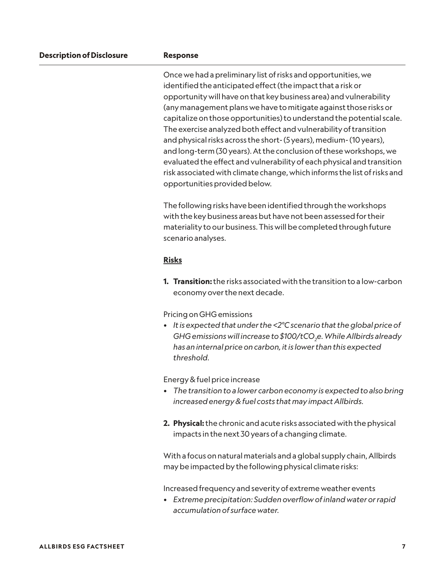| <b>Description of Disclosure</b> | <b>Response</b> |  |  |
|----------------------------------|-----------------|--|--|
|----------------------------------|-----------------|--|--|

Once we had a preliminary list of risks and opportunities, we identified the anticipated effect (the impact that a risk or opportunity will have on that key business area) and vulnerability (any management plans we have to mitigate against those risks or capitalize on those opportunities) to understand the potential scale. The exercise analyzed both effect and vulnerability of transition and physical risks across the short- (5 years), medium- (10 years), and long-term (30 years). At the conclusion of these workshops, we evaluated the effect and vulnerability of each physical and transition risk associated with climate change, which informs the list of risks and opportunities provided below.

The following risks have been identified through the workshops with the key business areas but have not been assessed for their materiality to our business. This will be completed through future scenario analyses.

#### **Risks**

**1. Transition:** the risks associated with the transition to a low-carbon economy over the next decade.

Pricing on GHG emissions

*• It is expected that under the <2°C scenario that the global price of GHG emissions will increase to \$100/tCO2 e. While Allbirds already has an internal price on carbon, it is lower than this expected threshold.*

Energy & fuel price increase

- *• The transition to a lower carbon economy is expected to also bring increased energy & fuel costs that may impact Allbirds.*
- **2. Physical:** the chronic and acute risks associated with the physical impacts in the next 30 years of a changing climate.

With a focus on natural materials and a global supply chain, Allbirds may be impacted by the following physical climate risks:

Increased frequency and severity of extreme weather events

*• Extreme precipitation: Sudden overflow of inland water or rapid accumulation of surface water.*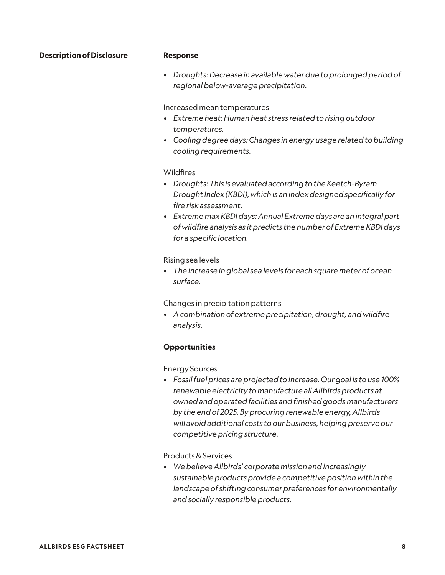| <b>Description of Disclosure</b> | <b>Response</b>                                                                                                                                                                                                                                                                                                                                                                                           |
|----------------------------------|-----------------------------------------------------------------------------------------------------------------------------------------------------------------------------------------------------------------------------------------------------------------------------------------------------------------------------------------------------------------------------------------------------------|
|                                  | Droughts: Decrease in available water due to prolonged period of<br>$\bullet$<br>regional below-average precipitation.                                                                                                                                                                                                                                                                                    |
|                                  | Increased mean temperatures<br>Extreme heat: Human heat stress related to rising outdoor<br>temperatures.<br>Cooling degree days: Changes in energy usage related to building<br>٠<br>cooling requirements.                                                                                                                                                                                               |
|                                  | Wildfires<br>Droughts: This is evaluated according to the Keetch-Byram<br>٠<br>Drought Index (KBDI), which is an index designed specifically for<br>fire risk assessment.<br>Extreme max KBDI days: Annual Extreme days are an integral part<br>$\bullet$<br>of wildfire analysis as it predicts the number of Extreme KBDI days<br>for a specific location.                                              |
|                                  | Rising sea levels<br>The increase in global sea levels for each square meter of ocean<br>surface.                                                                                                                                                                                                                                                                                                         |
|                                  | Changes in precipitation patterns<br>A combination of extreme precipitation, drought, and wildfire<br>٠<br>analysis.                                                                                                                                                                                                                                                                                      |
|                                  | <b>Opportunities</b>                                                                                                                                                                                                                                                                                                                                                                                      |
|                                  | <b>Energy Sources</b><br>• Fossil fuel prices are projected to increase. Our goal is to use 100%<br>renewable electricity to manufacture all Allbirds products at<br>owned and operated facilities and finished goods manufacturers<br>by the end of 2025. By procuring renewable energy, Allbirds<br>will avoid additional costs to our business, helping preserve our<br>competitive pricing structure. |
|                                  | Products & Services<br>We believe Allbirds' corporate mission and increasingly<br>sustainable products provide a competitive position within the<br>landscape of shifting consumer preferences for environmentally<br>and socially responsible products.                                                                                                                                                  |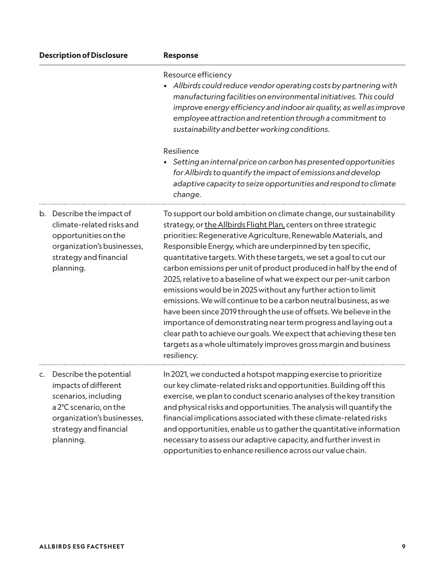| <b>Description of Disclosure</b>                                                                                                                                         | <b>Response</b>                                                                                                                                                                                                                                                                                                                                                                                                                                                                                                                                                                                                                                                                                                                                                                                                                                                                                                                       |
|--------------------------------------------------------------------------------------------------------------------------------------------------------------------------|---------------------------------------------------------------------------------------------------------------------------------------------------------------------------------------------------------------------------------------------------------------------------------------------------------------------------------------------------------------------------------------------------------------------------------------------------------------------------------------------------------------------------------------------------------------------------------------------------------------------------------------------------------------------------------------------------------------------------------------------------------------------------------------------------------------------------------------------------------------------------------------------------------------------------------------|
|                                                                                                                                                                          | Resource efficiency<br>Allbirds could reduce vendor operating costs by partnering with<br>manufacturing facilities on environmental initiatives. This could<br>improve energy efficiency and indoor air quality, as well as improve<br>employee attraction and retention through a commitment to<br>sustainability and better working conditions.                                                                                                                                                                                                                                                                                                                                                                                                                                                                                                                                                                                     |
|                                                                                                                                                                          | Resilience<br>Setting an internal price on carbon has presented opportunities<br>for Allbirds to quantify the impact of emissions and develop<br>adaptive capacity to seize opportunities and respond to climate<br>change.                                                                                                                                                                                                                                                                                                                                                                                                                                                                                                                                                                                                                                                                                                           |
| b. Describe the impact of<br>climate-related risks and<br>opportunities on the<br>organization's businesses,<br>strategy and financial<br>planning.                      | To support our bold ambition on climate change, our sustainability<br>strategy, or the Allbirds Flight Plan, centers on three strategic<br>priorities: Regenerative Agriculture, Renewable Materials, and<br>Responsible Energy, which are underpinned by ten specific,<br>quantitative targets. With these targets, we set a goal to cut our<br>carbon emissions per unit of product produced in half by the end of<br>2025, relative to a baseline of what we expect our per-unit carbon<br>emissions would be in 2025 without any further action to limit<br>emissions. We will continue to be a carbon neutral business, as we<br>have been since 2019 through the use of offsets. We believe in the<br>importance of demonstrating near term progress and laying out a<br>clear path to achieve our goals. We expect that achieving these ten<br>targets as a whole ultimately improves gross margin and business<br>resiliency. |
| c. Describe the potential<br>impacts of different<br>scenarios, including<br>a 2°C scenario, on the<br>organization's businesses,<br>strategy and financial<br>planning. | In 2021, we conducted a hotspot mapping exercise to prioritize<br>our key climate-related risks and opportunities. Building off this<br>exercise, we plan to conduct scenario analyses of the key transition<br>and physical risks and opportunities. The analysis will quantify the<br>financial implications associated with these climate-related risks<br>and opportunities, enable us to gather the quantitative information<br>necessary to assess our adaptive capacity, and further invest in<br>opportunities to enhance resilience across our value chain.                                                                                                                                                                                                                                                                                                                                                                  |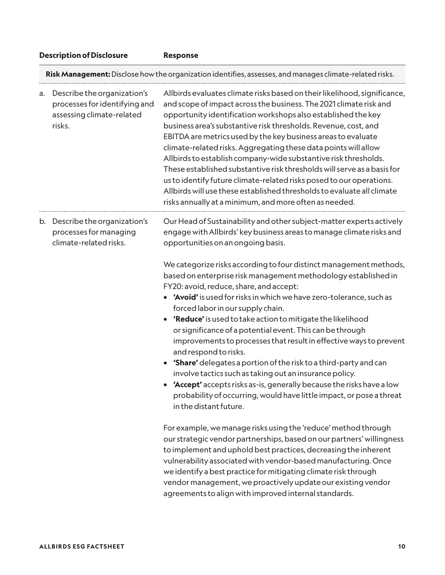#### **Description of Disclosure Response**

**Risk Management:** Disclose how the organization identifies, assesses, and manages climate-related risks.

| a. | Describe the organization's<br>processes for identifying and<br>assessing climate-related<br>risks. | Allbirds evaluates climate risks based on their likelihood, significance,<br>and scope of impact across the business. The 2021 climate risk and<br>opportunity identification workshops also established the key<br>business area's substantive risk thresholds. Revenue, cost, and<br>EBITDA are metrics used by the key business areas to evaluate<br>climate-related risks. Aggregating these data points will allow<br>Allbirds to establish company-wide substantive risk thresholds.<br>These established substantive risk thresholds will serve as a basis for<br>us to identify future climate-related risks posed to our operations.<br>Allbirds will use these established thresholds to evaluate all climate<br>risks annually at a minimum, and more often as needed.                                                    |
|----|-----------------------------------------------------------------------------------------------------|--------------------------------------------------------------------------------------------------------------------------------------------------------------------------------------------------------------------------------------------------------------------------------------------------------------------------------------------------------------------------------------------------------------------------------------------------------------------------------------------------------------------------------------------------------------------------------------------------------------------------------------------------------------------------------------------------------------------------------------------------------------------------------------------------------------------------------------|
|    | b. Describe the organization's<br>processes for managing<br>climate-related risks.                  | Our Head of Sustainability and other subject-matter experts actively<br>engage with Allbirds' key business areas to manage climate risks and<br>opportunities on an ongoing basis.                                                                                                                                                                                                                                                                                                                                                                                                                                                                                                                                                                                                                                                   |
|    |                                                                                                     | We categorize risks according to four distinct management methods,<br>based on enterprise risk management methodology established in<br>FY20: avoid, reduce, share, and accept:<br>'Avoid' is used for risks in which we have zero-tolerance, such as<br>forced labor in our supply chain.<br>'Reduce' is used to take action to mitigate the likelihood<br>or significance of a potential event. This can be through<br>improvements to processes that result in effective ways to prevent<br>and respond to risks.<br><b>'Share'</b> delegates a portion of the risk to a third-party and can<br>involve tactics such as taking out an insurance policy.<br>'Accept' accepts risks as-is, generally because the risks have a low<br>probability of occurring, would have little impact, or pose a threat<br>in the distant future. |
|    |                                                                                                     | For example, we manage risks using the 'reduce' method through<br>our strategic vendor partnerships, based on our partners' willingness<br>to implement and uphold best practices, decreasing the inherent<br>vulnerability associated with vendor-based manufacturing. Once<br>we identify a best practice for mitigating climate risk through<br>vendor management, we proactively update our existing vendor<br>agreements to align with improved internal standards.                                                                                                                                                                                                                                                                                                                                                             |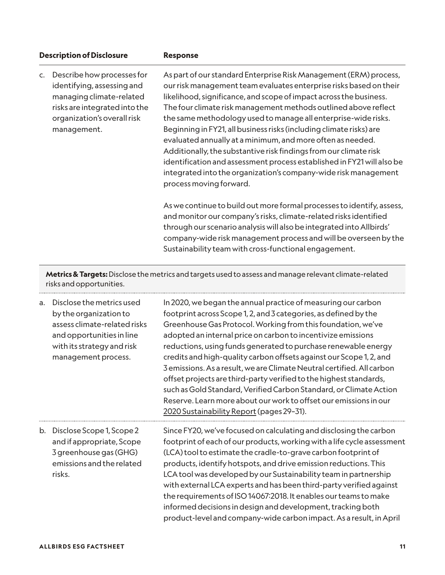|                | <b>Description of Disclosure</b><br><b>Response</b>                                                                                                                 |                                                                                                                                                                                                                                                                                                                                                                                                                                                                                                                                                                                                                                                                                                                                      |
|----------------|---------------------------------------------------------------------------------------------------------------------------------------------------------------------|--------------------------------------------------------------------------------------------------------------------------------------------------------------------------------------------------------------------------------------------------------------------------------------------------------------------------------------------------------------------------------------------------------------------------------------------------------------------------------------------------------------------------------------------------------------------------------------------------------------------------------------------------------------------------------------------------------------------------------------|
| $\mathsf{C}$ . | Describe how processes for<br>identifying, assessing and<br>managing climate-related<br>risks are integrated into the<br>organization's overall risk<br>management. | As part of our standard Enterprise Risk Management (ERM) process,<br>our risk management team evaluates enterprise risks based on their<br>likelihood, significance, and scope of impact across the business.<br>The four climate risk management methods outlined above reflect<br>the same methodology used to manage all enterprise-wide risks.<br>Beginning in FY21, all business risks (including climate risks) are<br>evaluated annually at a minimum, and more often as needed.<br>Additionally, the substantive risk findings from our climate risk<br>identification and assessment process established in FY21 will also be<br>integrated into the organization's company-wide risk management<br>process moving forward. |
|                |                                                                                                                                                                     | As we continue to build out more formal processes to identify, assess,<br>and monitor our company's risks, climate-related risks identified<br>through our scenario analysis will also be integrated into Allbirds'<br>company-wide risk management process and will be overseen by the<br>Sustainability team with cross-functional engagement.                                                                                                                                                                                                                                                                                                                                                                                     |
|                | risks and opportunities.                                                                                                                                            | Metrics & Targets: Disclose the metrics and targets used to assess and manage relevant climate-related                                                                                                                                                                                                                                                                                                                                                                                                                                                                                                                                                                                                                               |
| a.             | Disclose the metrics used<br>by the organization to<br>assess climate-related risks                                                                                 | In 2020, we began the annual practice of measuring our carbon<br>footprint across Scope 1, 2, and 3 categories, as defined by the<br>Greenhouse Gas Protocol. Working from this foundation, we've                                                                                                                                                                                                                                                                                                                                                                                                                                                                                                                                    |

and opportunities in line with its strategy and risk management process. adopted an internal price on carbon to incentivize emissions reductions, using funds generated to purchase renewable energy credits and high-quality carbon offsets against our Scope 1, 2, and 3 emissions. As a result, we are Climate Neutral certified. All carbon offset projects are third-party verified to the highest standards, such as Gold Standard, Verified Carbon Standard, or Climate Action Reserve. Learn more about our work to offset our emissions in our [2020 Sustainability Report](https://cdn.allbirds.com/image/upload/v1625161698/marketing-pages/Allbirds_Sustainability_Report_2020.pdf) (pages 29–31).

b. Disclose Scope 1, Scope 2 and if appropriate, Scope 3 greenhouse gas (GHG) emissions and the related risks. Since FY20, we've focused on calculating and disclosing the carbon footprint of each of our products, working with a life cycle assessment (LCA) tool to estimate the cradle-to-grave carbon footprint of products, identify hotspots, and drive emission reductions. This LCA tool was developed by our Sustainability team in partnership with external LCA experts and has been third-party verified against the requirements of ISO 14067:2018. It enables our teams to make informed decisions in design and development, tracking both product-level and company-wide carbon impact. As a result, in April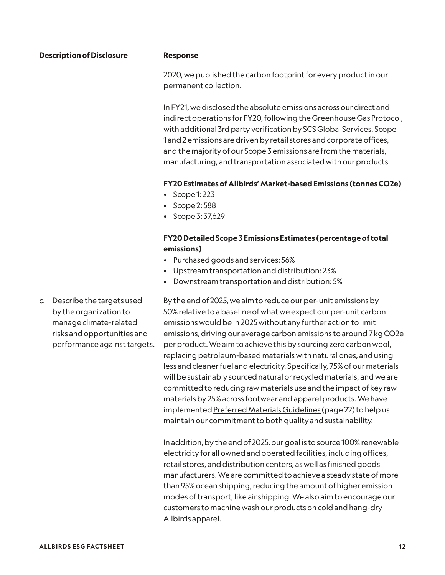|    | <b>Description of Disclosure</b>                                                                                                             | <b>Response</b>                                                                                                                                                                                                                                                                                                                                                                                                                                                                                                                                                                                                                                                                                                                                                                                                                                     |
|----|----------------------------------------------------------------------------------------------------------------------------------------------|-----------------------------------------------------------------------------------------------------------------------------------------------------------------------------------------------------------------------------------------------------------------------------------------------------------------------------------------------------------------------------------------------------------------------------------------------------------------------------------------------------------------------------------------------------------------------------------------------------------------------------------------------------------------------------------------------------------------------------------------------------------------------------------------------------------------------------------------------------|
|    |                                                                                                                                              | 2020, we published the carbon footprint for every product in our<br>permanent collection.                                                                                                                                                                                                                                                                                                                                                                                                                                                                                                                                                                                                                                                                                                                                                           |
|    |                                                                                                                                              | In FY21, we disclosed the absolute emissions across our direct and<br>indirect operations for FY20, following the Greenhouse Gas Protocol,<br>with additional 3rd party verification by SCS Global Services. Scope<br>1 and 2 emissions are driven by retail stores and corporate offices,<br>and the majority of our Scope 3 emissions are from the materials,<br>manufacturing, and transportation associated with our products.                                                                                                                                                                                                                                                                                                                                                                                                                  |
|    |                                                                                                                                              | FY20 Estimates of Allbirds' Market-based Emissions (tonnes CO2e)<br>Scope 1:223<br>Scope 2:588<br>Scope 3:37,629<br>$\bullet$                                                                                                                                                                                                                                                                                                                                                                                                                                                                                                                                                                                                                                                                                                                       |
|    |                                                                                                                                              | FY20 Detailed Scope 3 Emissions Estimates (percentage of total<br>emissions)<br>Purchased goods and services: 56%<br>٠<br>Upstream transportation and distribution: 23%<br>Downstream transportation and distribution: 5%<br>$\bullet$                                                                                                                                                                                                                                                                                                                                                                                                                                                                                                                                                                                                              |
| C. | Describe the targets used<br>by the organization to<br>manage climate-related<br>risks and opportunities and<br>performance against targets. | By the end of 2025, we aim to reduce our per-unit emissions by<br>50% relative to a baseline of what we expect our per-unit carbon<br>emissions would be in 2025 without any further action to limit<br>emissions, driving our average carbon emissions to around 7 kg CO2e<br>per product. We aim to achieve this by sourcing zero carbon wool,<br>replacing petroleum-based materials with natural ones, and using<br>less and cleaner fuel and electricity. Specifically, 75% of our materials<br>will be sustainably sourced natural or recycled materials, and we are<br>committed to reducing raw materials use and the impact of key raw<br>materials by 25% across footwear and apparel products. We have<br>implemented Preferred Materials Guidelines (page 22) to help us<br>maintain our commitment to both quality and sustainability. |
|    |                                                                                                                                              | In addition, by the end of 2025, our goal is to source 100% renewable<br>electricity for all owned and operated facilities, including offices,<br>retail stores, and distribution centers, as well as finished goods<br>manufacturers. We are committed to achieve a steady state of more<br>than 95% ocean shipping, reducing the amount of higher emission<br>modes of transport, like air shipping. We also aim to encourage our<br>customers to machine wash our products on cold and hang-dry<br>Allbirds apparel.                                                                                                                                                                                                                                                                                                                             |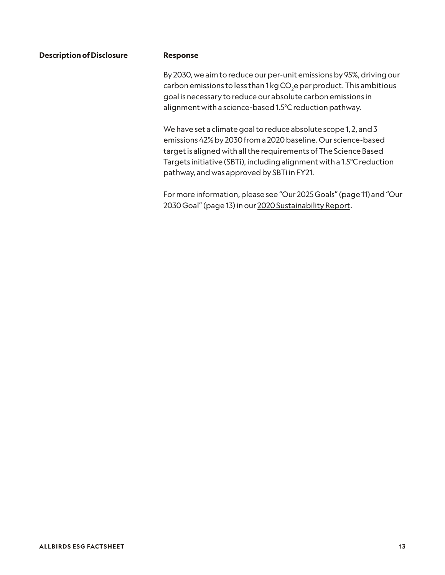| <b>Description of Disclosure</b> | <b>Response</b>                                                                                                                                                                                                                                                                                                             |
|----------------------------------|-----------------------------------------------------------------------------------------------------------------------------------------------------------------------------------------------------------------------------------------------------------------------------------------------------------------------------|
|                                  | By 2030, we aim to reduce our per-unit emissions by 95%, driving our<br>carbon emissions to less than 1 kg CO <sub>2</sub> e per product. This ambitious<br>goal is necessary to reduce our absolute carbon emissions in<br>alignment with a science-based 1.5°C reduction pathway.                                         |
|                                  | We have set a climate goal to reduce absolute scope 1, 2, and 3<br>emissions 42% by 2030 from a 2020 baseline. Our science-based<br>target is aligned with all the requirements of The Science Based<br>Targets initiative (SBTi), including alignment with a 1.5°C reduction<br>pathway, and was approved by SBTi in FY21. |
|                                  | For more information, please see "Our 2025 Goals" (page 11) and "Our<br>2030 Goal" (page 13) in our 2020 Sustainability Report.                                                                                                                                                                                             |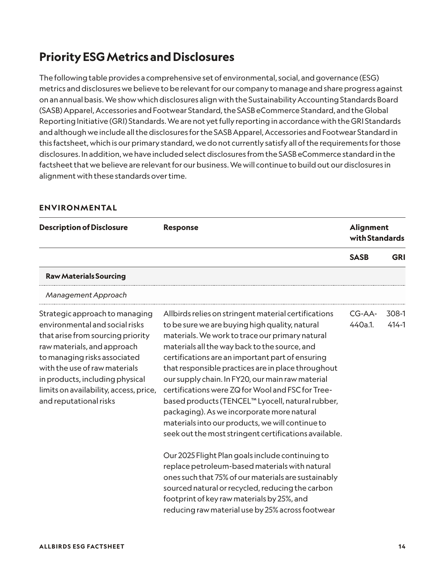## **Priority ESG Metrics and Disclosures**

The following table provides a comprehensive set of environmental, social, and governance (ESG) metrics and disclosures we believe to be relevant for our company to manage and share progress against on an annual basis. We show which disclosures align with the Sustainability Accounting Standards Board (SASB) Apparel, Accessories and Footwear Standard, the SASB eCommerce Standard, and the Global Reporting Initiative (GRI) Standards. We are not yet fully reporting in accordance with the GRI Standards and although we include all the disclosures for the SASB Apparel, Accessories and Footwear Standard in this factsheet, which is our primary standard, we do not currently satisfy all of the requirements for those disclosures. In addition, we have included select disclosures from the SASB eCommerce standard in the factsheet that we believe are relevant for our business. We will continue to build out our disclosures in alignment with these standards over time.

#### **ENVIRONMENTAL**

| <b>Description of Disclosure</b>                                                                                                                                                                                                                                                                             | <b>Response</b>                                                                                                                                                                                                                                                                                                                                                                                                                                                                                                                                                                                                                                                                                                                                                                                                                                                                                                                                                 | <b>Alignment</b><br>with Standards |                    |
|--------------------------------------------------------------------------------------------------------------------------------------------------------------------------------------------------------------------------------------------------------------------------------------------------------------|-----------------------------------------------------------------------------------------------------------------------------------------------------------------------------------------------------------------------------------------------------------------------------------------------------------------------------------------------------------------------------------------------------------------------------------------------------------------------------------------------------------------------------------------------------------------------------------------------------------------------------------------------------------------------------------------------------------------------------------------------------------------------------------------------------------------------------------------------------------------------------------------------------------------------------------------------------------------|------------------------------------|--------------------|
|                                                                                                                                                                                                                                                                                                              |                                                                                                                                                                                                                                                                                                                                                                                                                                                                                                                                                                                                                                                                                                                                                                                                                                                                                                                                                                 | <b>SASB</b>                        | <b>GRI</b>         |
| <b>Raw Materials Sourcing</b>                                                                                                                                                                                                                                                                                |                                                                                                                                                                                                                                                                                                                                                                                                                                                                                                                                                                                                                                                                                                                                                                                                                                                                                                                                                                 |                                    |                    |
| Management Approach                                                                                                                                                                                                                                                                                          |                                                                                                                                                                                                                                                                                                                                                                                                                                                                                                                                                                                                                                                                                                                                                                                                                                                                                                                                                                 |                                    |                    |
| Strategic approach to managing<br>environmental and social risks<br>that arise from sourcing priority<br>raw materials, and approach<br>to managing risks associated<br>with the use of raw materials<br>in products, including physical<br>limits on availability, access, price,<br>and reputational risks | Allbirds relies on stringent material certifications<br>to be sure we are buying high quality, natural<br>materials. We work to trace our primary natural<br>materials all the way back to the source, and<br>certifications are an important part of ensuring<br>that responsible practices are in place throughout<br>our supply chain. In FY20, our main raw material<br>certifications were ZQ for Wool and FSC for Tree-<br>based products (TENCEL™ Lyocell, natural rubber,<br>packaging). As we incorporate more natural<br>materials into our products, we will continue to<br>seek out the most stringent certifications available.<br>Our 2025 Flight Plan goals include continuing to<br>replace petroleum-based materials with natural<br>ones such that 75% of our materials are sustainably<br>sourced natural or recycled, reducing the carbon<br>footprint of key raw materials by 25%, and<br>reducing raw material use by 25% across footwear | CG-AA-<br>440a.1.                  | 308-1<br>$414 - 1$ |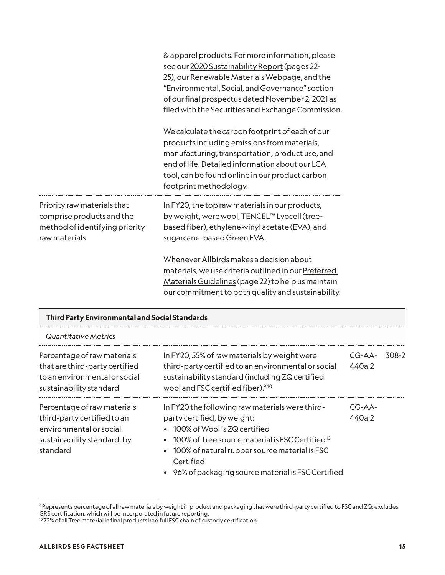|                                                                                                             | & apparel products. For more information, please<br>see our 2020 Sustainability Report (pages 22-<br>25), our Renewable Materials Webpage, and the<br>"Environmental, Social, and Governance" section<br>of our final prospectus dated November 2, 2021 as<br>filed with the Securities and Exchange Commission. |
|-------------------------------------------------------------------------------------------------------------|------------------------------------------------------------------------------------------------------------------------------------------------------------------------------------------------------------------------------------------------------------------------------------------------------------------|
|                                                                                                             | We calculate the carbon footprint of each of our<br>products including emissions from materials,<br>manufacturing, transportation, product use, and<br>end of life. Detailed information about our LCA<br>tool, can be found online in our product carbon<br>footprint methodology.                              |
| Priority raw materials that<br>comprise products and the<br>method of identifying priority<br>raw materials | In FY20, the top raw materials in our products,<br>by weight, were wool, TENCEL™ Lyocell (tree-<br>based fiber), ethylene-vinyl acetate (EVA), and<br>sugarcane-based Green EVA.                                                                                                                                 |
|                                                                                                             | Whenever Allbirds makes a decision about<br>materials, we use criteria outlined in our Preferred<br>Materials Guidelines (page 22) to help us maintain<br>our commitment to both quality and sustainability.                                                                                                     |

| Quantitative Metrics                                                                                                             |                                                                                                                                                                                                                                              |                    |       |
|----------------------------------------------------------------------------------------------------------------------------------|----------------------------------------------------------------------------------------------------------------------------------------------------------------------------------------------------------------------------------------------|--------------------|-------|
| Percentage of raw materials<br>that are third-party certified<br>to an environmental or social<br>sustainability standard        | In FY20, 55% of raw materials by weight were<br>third-party certified to an environmental or social<br>sustainability standard (including ZQ certified<br>wool and FSC certified fiber). <sup>9,10</sup>                                     | $CG-AA-$<br>440a.2 | 308-2 |
| Percentage of raw materials<br>third-party certified to an<br>environmental or social<br>sustainability standard, by<br>standard | In FY20 the following raw materials were third-<br>party certified, by weight:<br>• 100% of Wool is ZQ certified<br>$100\%$ of Tree source material is FSC Certified $^{10}$<br>• 100% of natural rubber source material is FSC<br>Certified | $CG-AA-$<br>440a.2 |       |
|                                                                                                                                  | • 96% of packaging source material is FSC Certified                                                                                                                                                                                          |                    |       |

 $^{\circ}$  Represents percentage of all raw materials by weight in product and packaging that were third-party certified to FSC and ZQ; excludes GRS certification, which will be incorporated in future reporting.

<sup>10 72%</sup> of all Tree material in final products had full FSC chain of custody certification.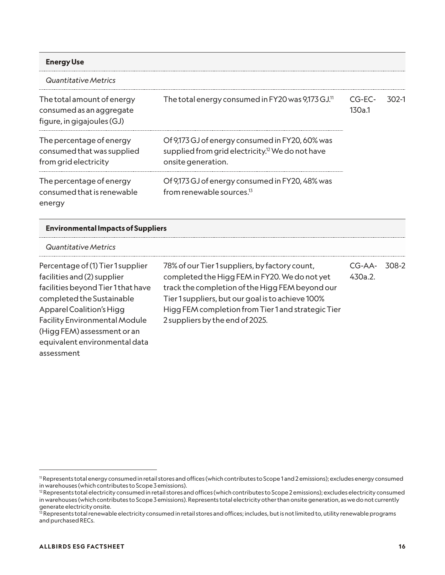| <b>Energy Use</b>                                                                    |                                                                                                                                       |                  |       |
|--------------------------------------------------------------------------------------|---------------------------------------------------------------------------------------------------------------------------------------|------------------|-------|
| Quantitative Metrics                                                                 |                                                                                                                                       |                  |       |
| The total amount of energy<br>consumed as an aggregate<br>figure, in gigajoules (GJ) | The total energy consumed in FY20 was 9,173 GJ. <sup>11</sup>                                                                         | CG-EC-<br>130a.1 | 302-1 |
| The percentage of energy<br>consumed that was supplied<br>from grid electricity      | Of 9,173 GJ of energy consumed in FY20, 60% was<br>supplied from grid electricity. <sup>12</sup> We do not have<br>onsite generation. |                  |       |
| The percentage of energy<br>consumed that is renewable<br>energy                     | Of 9,173 GJ of energy consumed in FY20, 48% was<br>from renewable sources. <sup>13</sup>                                              |                  |       |

#### **Environmental Impacts of Suppliers**

#### *Quantitative Metrics*

Percentage of (1) Tier 1 supplier facilities and (2) supplier facilities beyond Tier 1 that have completed the Sustainable Apparel Coalition's Higg Facility Environmental Module (Higg FEM) assessment or an equivalent environmental data assessment

| 78% of our Tier 1 suppliers, by factory count,     | CG-AA-  | - 308-2 |
|----------------------------------------------------|---------|---------|
| completed the Higg FEM in FY20. We do not yet      | 430a.2. |         |
| track the completion of the Higg FEM beyond our    |         |         |
| Tier 1 suppliers, but our goal is to achieve 100%  |         |         |
| Higg FEM completion from Tier 1 and strategic Tier |         |         |
| 2 suppliers by the end of 2025.                    |         |         |

<sup>11</sup> Represents total energy consumed in retail stores and offices (which contributes to Scope 1 and 2 emissions); excludes energy consumed in warehouses (which contributes to Scope 3 emissions).

 $2R$  Represents total electricity consumed in retail stores and offices (which contributes to Scope 2 emissions); excludes electricity consumed in warehouses (which contributes to Scope 3 emissions). Represents total electricity other than onsite generation, as we do not currently generate electricity onsite.

<sup>&</sup>lt;sup>13</sup> Represents total renewable electricity consumed in retail stores and offices; includes, but is not limited to, utility renewable programs and purchased RECs.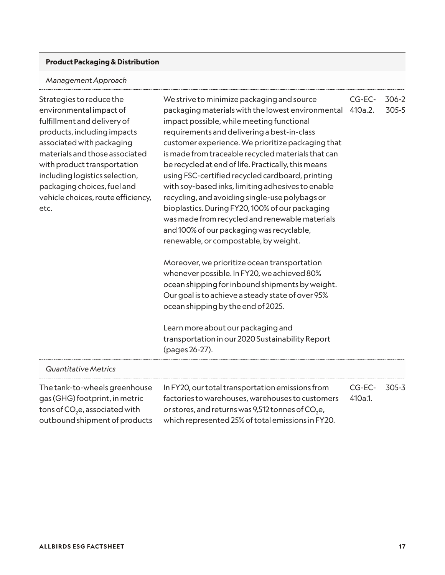#### **Product Packaging & Distribution**

#### *Management Approach*

Strategies to reduce the environmental impact of fulfillment and delivery of products, including impacts associated with packaging materials and those associated with product transportation including logistics selection, packaging choices, fuel and vehicle choices, route efficiency, etc.

We strive to minimize packaging and source packaging materials with the lowest environmental 410a.2. impact possible, while meeting functional requirements and delivering a best-in-class customer experience. We prioritize packaging that is made from traceable recycled materials that can be recycled at end of life. Practically, this means using FSC-certified recycled cardboard, printing with soy-based inks, limiting adhesives to enable recycling, and avoiding single-use polybags or bioplastics. During FY20, 100% of our packaging was made from recycled and renewable materials and 100% of our packaging was recyclable, renewable, or compostable, by weight. CG-EC-

Moreover, we prioritize ocean transportation whenever possible. In FY20, we achieved 80% ocean shipping for inbound shipments by weight. Our goal is to achieve a steady state of over 95% ocean shipping by the end of 2025.

Learn more about our packaging and transportation in our [2020 Sustainability Report](https://cdn.allbirds.com/image/upload/v1625161698/marketing-pages/Allbirds_Sustainability_Report_2020.pdf) (pages 26-27).

| <b>Quantitative Metrics</b>                |                                                               |         |       |
|--------------------------------------------|---------------------------------------------------------------|---------|-------|
| The tank-to-wheels greenhouse              | In FY20, our total transportation emissions from              | CG-EC-  | 305-3 |
| gas (GHG) footprint, in metric             | factories to warehouses, warehouses to customers              | 410a.1. |       |
| tons of CO <sub>2</sub> e, associated with | or stores, and returns was 9,512 tonnes of CO <sub>2</sub> e, |         |       |
| outbound shipment of products              | which represented 25% of total emissions in FY20.             |         |       |

306-2 305-5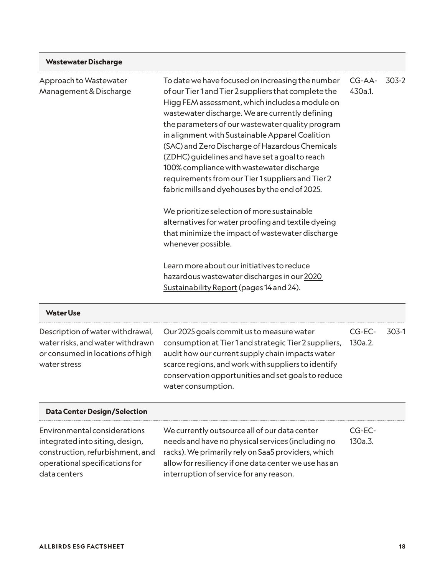| <b>Wastewater Discharge</b>                                                                                                           |                                                                                                                                                                                                                                                                                                                                                                                                                                                                                                                                                                                                                                                                                                                                                                                                                                                                                                        |                   |       |
|---------------------------------------------------------------------------------------------------------------------------------------|--------------------------------------------------------------------------------------------------------------------------------------------------------------------------------------------------------------------------------------------------------------------------------------------------------------------------------------------------------------------------------------------------------------------------------------------------------------------------------------------------------------------------------------------------------------------------------------------------------------------------------------------------------------------------------------------------------------------------------------------------------------------------------------------------------------------------------------------------------------------------------------------------------|-------------------|-------|
| Approach to Wastewater<br>Management & Discharge                                                                                      | To date we have focused on increasing the number<br>of our Tier 1 and Tier 2 suppliers that complete the<br>Higg FEM assessment, which includes a module on<br>wastewater discharge. We are currently defining<br>the parameters of our wastewater quality program<br>in alignment with Sustainable Apparel Coalition<br>(SAC) and Zero Discharge of Hazardous Chemicals<br>(ZDHC) guidelines and have set a goal to reach<br>100% compliance with wastewater discharge<br>requirements from our Tier 1 suppliers and Tier 2<br>fabric mills and dyehouses by the end of 2025.<br>We prioritize selection of more sustainable<br>alternatives for water proofing and textile dyeing<br>that minimize the impact of wastewater discharge<br>whenever possible.<br>Learn more about our initiatives to reduce<br>hazardous wastewater discharges in our 2020<br>Sustainability Report (pages 14 and 24). | CG-AA-<br>430a.1. | 303-2 |
| <b>Water Use</b>                                                                                                                      |                                                                                                                                                                                                                                                                                                                                                                                                                                                                                                                                                                                                                                                                                                                                                                                                                                                                                                        |                   |       |
| Description of water withdrawal,<br>water risks, and water withdrawn<br>or consumed in locations of high<br>water stress              | Our 2025 goals commit us to measure water<br>consumption at Tier 1 and strategic Tier 2 suppliers,<br>audit how our current supply chain impacts water<br>scarce regions, and work with suppliers to identify<br>conservation opportunities and set goals to reduce<br>water consumption.                                                                                                                                                                                                                                                                                                                                                                                                                                                                                                                                                                                                              | CG-EC-<br>130a.2. | 303-1 |
| <b>Data Center Design/Selection</b>                                                                                                   |                                                                                                                                                                                                                                                                                                                                                                                                                                                                                                                                                                                                                                                                                                                                                                                                                                                                                                        |                   |       |
| Environmental considerations<br>integrated into siting, design,<br>construction, refurbishment, and<br>operational specifications for | We currently outsource all of our data center<br>needs and have no physical services (including no<br>racks). We primarily rely on SaaS providers, which<br>allow for resiliency if one data center we use has an                                                                                                                                                                                                                                                                                                                                                                                                                                                                                                                                                                                                                                                                                      | CG-EC-<br>130a.3. |       |

interruption of service for any reason.

data centers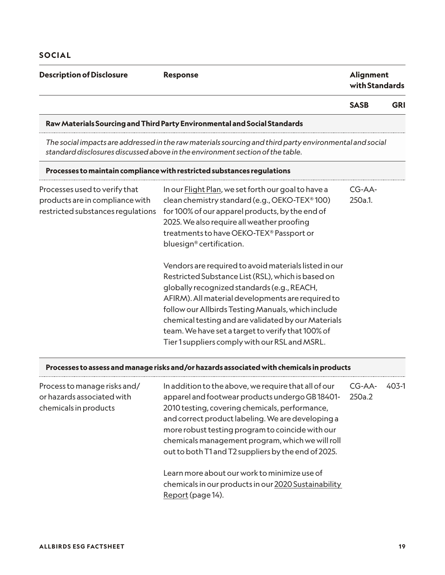#### **Description of Disclosure Response Response** *Response Response*

## **with Standards**

**SASB GRI**

#### **Raw Materials Sourcing and Third Party Environmental and Social Standards**

*The social impacts are addressed in the raw materials sourcing and third party environmental and social standard disclosures discussed above in the environment section of the table.*

#### **Processes to maintain compliance with restricted substances regulations**

| Processes used to verify that<br>products are in compliance with<br>restricted substances regulations | In our Flight Plan, we set forth our goal to have a<br>clean chemistry standard (e.g., OEKO-TEX®100)<br>for 100% of our apparel products, by the end of<br>2025. We also require all weather proofing<br>treatments to have OEKO-TEX® Passport or<br>bluesign <sup>®</sup> certification.                                                                                                                                           | CG-AA-<br>250a.1. |
|-------------------------------------------------------------------------------------------------------|-------------------------------------------------------------------------------------------------------------------------------------------------------------------------------------------------------------------------------------------------------------------------------------------------------------------------------------------------------------------------------------------------------------------------------------|-------------------|
|                                                                                                       | Vendors are required to avoid materials listed in our<br>Restricted Substance List (RSL), which is based on<br>globally recognized standards (e.g., REACH,<br>AFIRM). All material developments are required to<br>follow our Allbirds Testing Manuals, which include<br>chemical testing and are validated by our Materials<br>team. We have set a target to verify that 100% of<br>Tier 1 suppliers comply with our RSL and MSRL. |                   |

#### **Processes to assess and manage risks and/or hazards associated with chemicals in products**

| Process to manage risks and/<br>or hazards associated with<br>chemicals in products | In addition to the above, we require that all of our<br>apparel and footwear products undergo GB18401-<br>2010 testing, covering chemicals, performance,<br>and correct product labeling. We are developing a<br>more robust testing program to coincide with our<br>chemicals management program, which we will roll<br>out to both T1 and T2 suppliers by the end of 2025. | $CG-AA-$<br>250a.2 | $403-1$ |
|-------------------------------------------------------------------------------------|------------------------------------------------------------------------------------------------------------------------------------------------------------------------------------------------------------------------------------------------------------------------------------------------------------------------------------------------------------------------------|--------------------|---------|
|                                                                                     | Learn more about our work to minimize use of<br>chemicals in our products in our 2020 Sustainability<br>Report (page 14).                                                                                                                                                                                                                                                    |                    |         |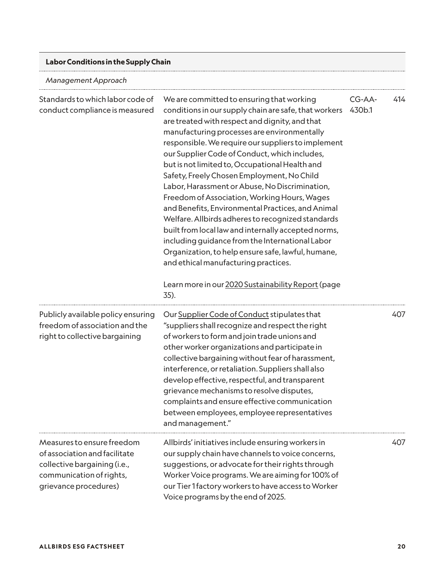#### **Labor Conditions in the Supply Chain**

*Management Approach*

| Standards to which labor code of<br>conduct compliance is measured                                                                               | We are committed to ensuring that working<br>conditions in our supply chain are safe, that workers<br>are treated with respect and dignity, and that<br>manufacturing processes are environmentally<br>responsible. We require our suppliers to implement<br>our Supplier Code of Conduct, which includes,<br>but is not limited to, Occupational Health and<br>Safety, Freely Chosen Employment, No Child<br>Labor, Harassment or Abuse, No Discrimination,<br>Freedom of Association, Working Hours, Wages<br>and Benefits, Environmental Practices, and Animal<br>Welfare. Allbirds adheres to recognized standards<br>built from local law and internally accepted norms,<br>including guidance from the International Labor<br>Organization, to help ensure safe, lawful, humane,<br>and ethical manufacturing practices.<br>Learn more in our 2020 Sustainability Report (page<br>35). | CG-AA-<br>430b.1 | 414 |
|--------------------------------------------------------------------------------------------------------------------------------------------------|----------------------------------------------------------------------------------------------------------------------------------------------------------------------------------------------------------------------------------------------------------------------------------------------------------------------------------------------------------------------------------------------------------------------------------------------------------------------------------------------------------------------------------------------------------------------------------------------------------------------------------------------------------------------------------------------------------------------------------------------------------------------------------------------------------------------------------------------------------------------------------------------|------------------|-----|
| Publicly available policy ensuring<br>freedom of association and the<br>right to collective bargaining                                           | Our Supplier Code of Conduct stipulates that<br>"suppliers shall recognize and respect the right<br>of workers to form and join trade unions and<br>other worker organizations and participate in<br>collective bargaining without fear of harassment,<br>interference, or retaliation. Suppliers shall also<br>develop effective, respectful, and transparent<br>grievance mechanisms to resolve disputes,<br>complaints and ensure effective communication<br>between employees, employee representatives<br>and management."                                                                                                                                                                                                                                                                                                                                                              |                  | 407 |
| Measures to ensure freedom<br>of association and facilitate<br>collective bargaining (i.e.,<br>communication of rights,<br>grievance procedures) | Allbirds' initiatives include ensuring workers in<br>our supply chain have channels to voice concerns,<br>suggestions, or advocate for their rights through<br>Worker Voice programs. We are aiming for 100% of<br>our Tier 1 factory workers to have access to Worker<br>Voice programs by the end of 2025.                                                                                                                                                                                                                                                                                                                                                                                                                                                                                                                                                                                 |                  | 407 |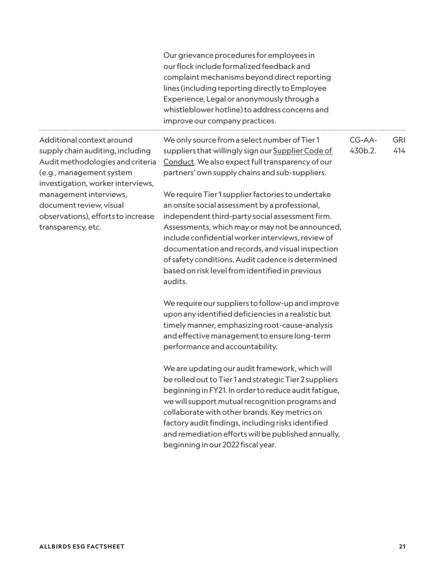Our grievance procedures for employees in our flock include formalized feedback and complaint mechanisms beyond direct reporting lines (including reporting directly to Employee Experience, Legal or anonymously through a whistleblower hotline) to address concerns and improve our company practices.

Additional context around supply chain auditing, including Audit methodologies and criteria (e.g., management system investigation, worker interviews, management interviews, document review, visual observations), efforts to increase transparency, etc.

We only source from a select number of Tier 1 suppliers that willingly sign our [Supplier Code of](https://cdn.shopify.com/s/files/1/1104/4168/files/Allbirds_Supplier_Code_of_Conduct.pdf?v=1606366635)  [Conduct](https://cdn.shopify.com/s/files/1/1104/4168/files/Allbirds_Supplier_Code_of_Conduct.pdf?v=1606366635). We also expect full transparency of our partners' own supply chains and sub-suppliers. CG-AA-430b.2.

We require Tier 1 supplier factories to undertake an onsite social assessment by a professional, independent third-party social assessment firm. Assessments, which may or may not be announced, include confidential worker interviews, review of documentation and records, and visual inspection of safety conditions. Audit cadence is determined based on risk level from identified in previous audits.

We require our suppliers to follow-up and improve upon any identified deficiencies in a realistic but timely manner, emphasizing root-cause-analysis and effective management to ensure long-term performance and accountability.

We are updating our audit framework, which will be rolled out to Tier 1 and strategic Tier 2 suppliers beginning in FY21. In order to reduce audit fatigue, we will support mutual recognition programs and collaborate with other brands. Key metrics on factory audit findings, including risks identified and remediation efforts will be published annually, beginning in our 2022 fiscal year.

GRI 414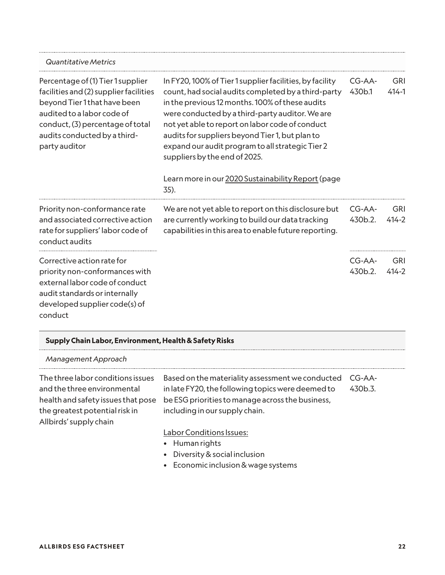| <b>Quantitative Metrics</b>                                                                                                                                                                                                    |                                                                                                                                                                                                                                                                                                                                                                                                                                                                                |                   |                         |
|--------------------------------------------------------------------------------------------------------------------------------------------------------------------------------------------------------------------------------|--------------------------------------------------------------------------------------------------------------------------------------------------------------------------------------------------------------------------------------------------------------------------------------------------------------------------------------------------------------------------------------------------------------------------------------------------------------------------------|-------------------|-------------------------|
| Percentage of (1) Tier 1 supplier<br>facilities and (2) supplier facilities<br>beyond Tier 1 that have been<br>audited to a labor code of<br>conduct, (3) percentage of total<br>audits conducted by a third-<br>party auditor | In FY20, 100% of Tier 1 supplier facilities, by facility<br>count, had social audits completed by a third-party<br>in the previous 12 months. 100% of these audits<br>were conducted by a third-party auditor. We are<br>not yet able to report on labor code of conduct<br>audits for suppliers beyond Tier 1, but plan to<br>expand our audit program to all strategic Tier 2<br>suppliers by the end of 2025.<br>Learn more in our 2020 Sustainability Report (page<br>35). | CG-AA-<br>430b.1  | <b>GRI</b><br>$414 - 1$ |
| Priority non-conformance rate<br>and associated corrective action<br>rate for suppliers' labor code of<br>conduct audits                                                                                                       | We are not yet able to report on this disclosure but<br>are currently working to build our data tracking<br>capabilities in this area to enable future reporting.                                                                                                                                                                                                                                                                                                              | CG-AA-<br>430b.2. | <b>GRI</b><br>$414 - 2$ |
| Corrective action rate for<br>priority non-conformances with<br>external labor code of conduct<br>audit standards or internally<br>developed supplier code(s) of<br>conduct                                                    |                                                                                                                                                                                                                                                                                                                                                                                                                                                                                | CG-AA-<br>430b.2. | <b>GRI</b><br>$414 - 2$ |

| Supply Chain Labor, Environment, Health & Safety Risks                                                                                                             |                                                                                                                                                                                             |                   |
|--------------------------------------------------------------------------------------------------------------------------------------------------------------------|---------------------------------------------------------------------------------------------------------------------------------------------------------------------------------------------|-------------------|
| Management Approach                                                                                                                                                |                                                                                                                                                                                             |                   |
| The three labor conditions issues<br>and the three environmental<br>health and safety issues that pose<br>the greatest potential risk in<br>Allbirds' supply chain | Based on the materiality assessment we conducted<br>in late FY20, the following topics were deemed to<br>be ESG priorities to manage across the business,<br>including in our supply chain. | CG-AA-<br>430b.3. |
|                                                                                                                                                                    | Labor Conditions Issues:<br>• Human rights<br>• Diversity & social inclusion                                                                                                                |                   |

• Economic inclusion & wage systems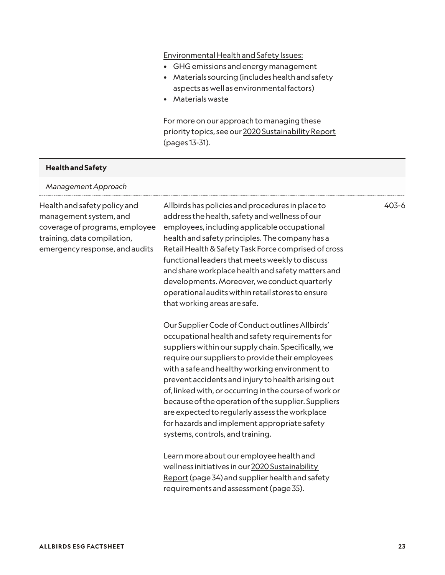#### Environmental Health and Safety Issues:

- GHG emissions and energy management
- Materials sourcing (includes health and safety aspects as well as environmental factors)
- Materials waste

For more on our approach to managing these priority topics, see our [2020 Sustainability Report](https://cdn.allbirds.com/image/upload/v1625161698/marketing-pages/Allbirds_Sustainability_Report_2020.pdf) (pages 13-31).

#### **Health and Safety**

#### *Management Approach*

Health and safety policy and management system, and coverage of programs, employee training, data compilation, emergency response, and audits

Allbirds has policies and procedures in place to address the health, safety and wellness of our employees, including applicable occupational health and safety principles. The company has a Retail Health & Safety Task Force comprised of cross functional leaders that meets weekly to discuss and share workplace health and safety matters and developments. Moreover, we conduct quarterly operational audits within retail stores to ensure that working areas are safe.

Our [Supplier Code of Conduct](https://cdn.shopify.com/s/files/1/1104/4168/files/Allbirds_Supplier_Code_of_Conduct.pdf?v=1606366635) outlines Allbirds' occupational health and safety requirements for suppliers within our supply chain. Specifically, we require our suppliers to provide their employees with a safe and healthy working environment to prevent accidents and injury to health arising out of, linked with, or occurring in the course of work or because of the operation of the supplier. Suppliers are expected to regularly assess the workplace for hazards and implement appropriate safety systems, controls, and training.

Learn more about our employee health and wellness initiatives in our [2020 Sustainability](https://cdn.allbirds.com/image/upload/v1625161698/marketing-pages/Allbirds_Sustainability_Report_2020.pdf)  [Report](https://cdn.allbirds.com/image/upload/v1625161698/marketing-pages/Allbirds_Sustainability_Report_2020.pdf) (page 34) and supplier health and safety requirements and assessment (page 35).

403-6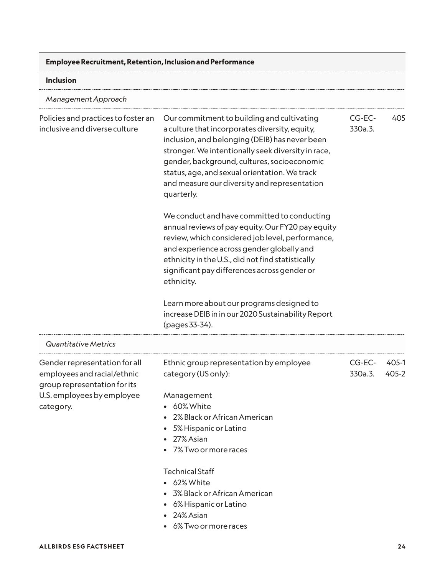| <b>Employee Recruitment, Retention, Inclusion and Performance</b>                                                                       |                                                                                                                                                                                                                                                                                                                                                                    |                   |                |
|-----------------------------------------------------------------------------------------------------------------------------------------|--------------------------------------------------------------------------------------------------------------------------------------------------------------------------------------------------------------------------------------------------------------------------------------------------------------------------------------------------------------------|-------------------|----------------|
| Inclusion                                                                                                                               |                                                                                                                                                                                                                                                                                                                                                                    |                   |                |
| Management Approach                                                                                                                     |                                                                                                                                                                                                                                                                                                                                                                    |                   |                |
| Policies and practices to foster an<br>inclusive and diverse culture                                                                    | Our commitment to building and cultivating<br>a culture that incorporates diversity, equity,<br>inclusion, and belonging (DEIB) has never been<br>stronger. We intentionally seek diversity in race,<br>gender, background, cultures, socioeconomic<br>status, age, and sexual orientation. We track<br>and measure our diversity and representation<br>quarterly. | CG-EC-<br>330a.3. | 405            |
|                                                                                                                                         | We conduct and have committed to conducting<br>annual reviews of pay equity. Our FY20 pay equity<br>review, which considered job level, performance,<br>and experience across gender globally and<br>ethnicity in the U.S., did not find statistically<br>significant pay differences across gender or<br>ethnicity.                                               |                   |                |
|                                                                                                                                         | Learn more about our programs designed to<br>increase DEIB in in our 2020 Sustainability Report<br>(pages 33-34).                                                                                                                                                                                                                                                  |                   |                |
| Quantitative Metrics                                                                                                                    |                                                                                                                                                                                                                                                                                                                                                                    |                   |                |
| Gender representation for all<br>employees and racial/ethnic<br>group representation for its<br>U.S. employees by employee<br>category. | Ethnic group representation by employee<br>category (US only):<br>Management<br>• 60% White<br>2% Black or African American<br>• 5% Hispanic or Latino<br>• 27% Asian<br>• 7% Two or more races                                                                                                                                                                    | CG-EC-<br>330a.3. | 405-1<br>405-2 |
|                                                                                                                                         | <b>Technical Staff</b><br>• 62% White<br>• 3% Black or African American<br>• 6% Hispanic or Latino<br>• 24% Asian<br>6% Two or more races                                                                                                                                                                                                                          |                   |                |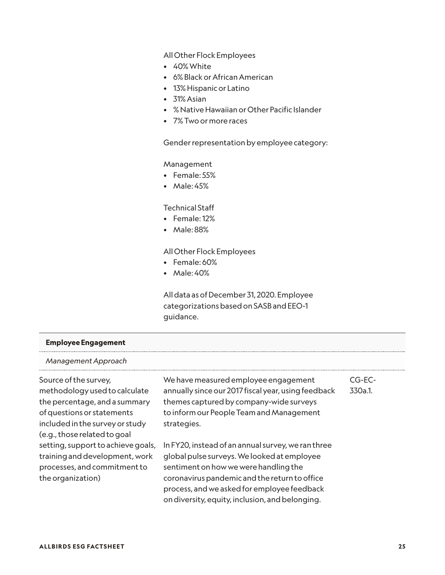All Other Flock Employees

- 40% White
- 6% Black or African American
- 13% Hispanic or Latino
- 31% Asian
- % Native Hawaiian or Other Pacific Islander
- 7% Two or more races

Gender representation by employee category:

#### Management

- Female: 55%
- Male: 45%

#### Technical Staff

- Female: 12%
- Male: 88%

#### All Other Flock Employees

- Female: 60%
- Male: 40%

All data as of December 31, 2020. Employee categorizations based on SASB and EEO-1 guidance.

#### **Employee Engagement**

#### *Management Approach*

Source of the survey, methodology used to calculate the percentage, and a summary of questions or statements included in the survey or study (e.g., those related to goal setting, support to achieve goals, training and development, work processes, and commitment to the organization)

We have measured employee engagement annually since our 2017 fiscal year, using feedback themes captured by company-wide surveys to inform our People Team and Management strategies.

In FY20, instead of an annual survey, we ran three global pulse surveys. We looked at employee sentiment on how we were handling the coronavirus pandemic and the return to office process, and we asked for employee feedback on diversity, equity, inclusion, and belonging.

CG-EC-

330a.1.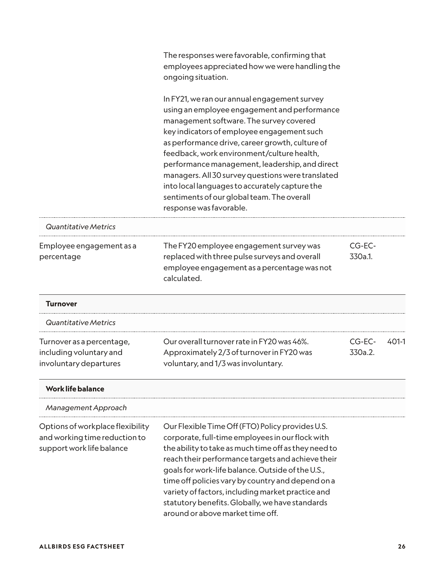|                                                                                                | The responses were favorable, confirming that<br>employees appreciated how we were handling the<br>ongoing situation.                                                                                                                                                                                                                                                                                                                                                                                                    |                   |       |
|------------------------------------------------------------------------------------------------|--------------------------------------------------------------------------------------------------------------------------------------------------------------------------------------------------------------------------------------------------------------------------------------------------------------------------------------------------------------------------------------------------------------------------------------------------------------------------------------------------------------------------|-------------------|-------|
|                                                                                                | In FY21, we ran our annual engagement survey<br>using an employee engagement and performance<br>management software. The survey covered<br>key indicators of employee engagement such<br>as performance drive, career growth, culture of<br>feedback, work environment/culture health,<br>performance management, leadership, and direct<br>managers. All 30 survey questions were translated<br>into local languages to accurately capture the<br>sentiments of our global team. The overall<br>response was favorable. |                   |       |
| Quantitative Metrics                                                                           |                                                                                                                                                                                                                                                                                                                                                                                                                                                                                                                          |                   |       |
| Employee engagement as a<br>percentage                                                         | The FY20 employee engagement survey was<br>replaced with three pulse surveys and overall<br>employee engagement as a percentage was not<br>calculated.                                                                                                                                                                                                                                                                                                                                                                   | CG-EC-<br>330a.1. |       |
| <b>Turnover</b>                                                                                |                                                                                                                                                                                                                                                                                                                                                                                                                                                                                                                          |                   |       |
| Quantitative Metrics                                                                           |                                                                                                                                                                                                                                                                                                                                                                                                                                                                                                                          |                   |       |
| Turnover as a percentage,<br>including voluntary and<br>involuntary departures                 | Our overall turnover rate in FY20 was 46%.<br>Approximately 2/3 of turnover in FY20 was<br>voluntary, and 1/3 was involuntary.                                                                                                                                                                                                                                                                                                                                                                                           | CG-EC-<br>330a.2. | 401-1 |
| <b>Work life balance</b>                                                                       |                                                                                                                                                                                                                                                                                                                                                                                                                                                                                                                          |                   |       |
| Management Approach                                                                            |                                                                                                                                                                                                                                                                                                                                                                                                                                                                                                                          |                   |       |
| Options of workplace flexibility<br>and working time reduction to<br>support work life balance | Our Flexible Time Off (FTO) Policy provides U.S.<br>corporate, full-time employees in our flock with<br>the ability to take as much time off as they need to<br>reach their performance targets and achieve their<br>goals for work-life balance. Outside of the U.S.,<br>time off policies vary by country and depend on a<br>variety of factors, including market practice and<br>statutory benefits. Globally, we have standards<br>around or above market time off.                                                  |                   |       |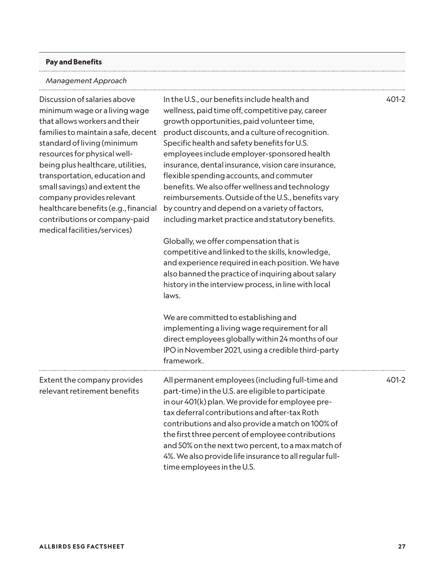#### **Pay and Benefits**

#### *Management Approach*

| Discussion of salaries above<br>minimum wage or a living wage<br>that allows workers and their<br>families to maintain a safe, decent<br>standard of living (minimum<br>resources for physical well-<br>being plus healthcare, utilities,<br>transportation, education and<br>small savings) and extent the<br>company provides relevant<br>healthcare benefits (e.g., financial<br>contributions or company-paid<br>medical facilities/services) | In the U.S., our benefits include health and<br>wellness, paid time off, competitive pay, career<br>growth opportunities, paid volunteer time,<br>product discounts, and a culture of recognition.<br>Specific health and safety benefits for U.S.<br>employees include employer-sponsored health<br>insurance, dental insurance, vision care insurance,<br>flexible spending accounts, and commuter<br>benefits. We also offer wellness and technology<br>reimbursements. Outside of the U.S., benefits vary<br>by country and depend on a variety of factors,<br>including market practice and statutory benefits.<br>Globally, we offer compensation that is | 401-2 |
|---------------------------------------------------------------------------------------------------------------------------------------------------------------------------------------------------------------------------------------------------------------------------------------------------------------------------------------------------------------------------------------------------------------------------------------------------|-----------------------------------------------------------------------------------------------------------------------------------------------------------------------------------------------------------------------------------------------------------------------------------------------------------------------------------------------------------------------------------------------------------------------------------------------------------------------------------------------------------------------------------------------------------------------------------------------------------------------------------------------------------------|-------|
|                                                                                                                                                                                                                                                                                                                                                                                                                                                   | competitive and linked to the skills, knowledge,<br>and experience required in each position. We have<br>also banned the practice of inquiring about salary<br>history in the interview process, in line with local<br>laws.<br>We are committed to establishing and                                                                                                                                                                                                                                                                                                                                                                                            |       |
|                                                                                                                                                                                                                                                                                                                                                                                                                                                   | implementing a living wage requirement for all<br>direct employees globally within 24 months of our<br>IPO in November 2021, using a credible third-party<br>framework.                                                                                                                                                                                                                                                                                                                                                                                                                                                                                         |       |
| Extent the company provides<br>relevant retirement benefits                                                                                                                                                                                                                                                                                                                                                                                       | All permanent employees (including full-time and<br>part-time) in the U.S. are eligible to participate<br>in our 401(k) plan. We provide for employee pre-<br>tax deferral contributions and after-tax Roth<br>contributions and also provide a match on 100% of<br>the first three percent of employee contributions<br>and 50% on the next two percent, to a max match of<br>4%. We also provide life insurance to all regular full-<br>time employees in the U.S.                                                                                                                                                                                            | 401-2 |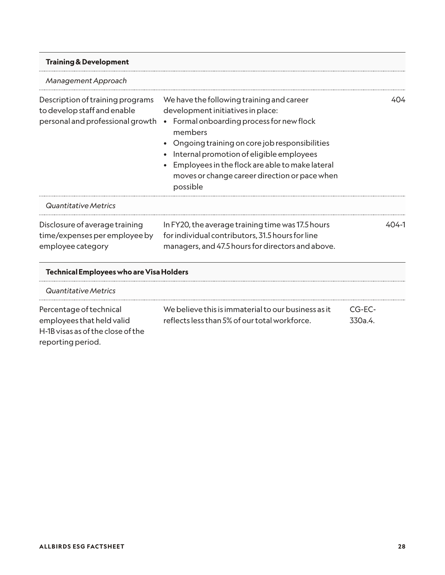| <b>Training &amp; Development</b>                                                                   |                                                                                                                                                                                                                                                                                                                                                   |           |
|-----------------------------------------------------------------------------------------------------|---------------------------------------------------------------------------------------------------------------------------------------------------------------------------------------------------------------------------------------------------------------------------------------------------------------------------------------------------|-----------|
| Management Approach                                                                                 |                                                                                                                                                                                                                                                                                                                                                   |           |
| Description of training programs<br>to develop staff and enable<br>personal and professional growth | We have the following training and career<br>development initiatives in place:<br>Formal onboarding process for new flock<br>members<br>Ongoing training on core job responsibilities<br>Internal promotion of eligible employees<br>Employees in the flock are able to make lateral<br>moves or change career direction or pace when<br>possible | 404       |
| Quantitative Metrics                                                                                |                                                                                                                                                                                                                                                                                                                                                   |           |
| Disclosure of average training<br>time/expenses per employee by<br>employee category                | In FY20, the average training time was 17.5 hours<br>for individual contributors, 31.5 hours for line<br>managers, and 47.5 hours for directors and above.                                                                                                                                                                                        | $404 - 1$ |
| <b>Technical Employees who are Visa Holders</b>                                                     |                                                                                                                                                                                                                                                                                                                                                   |           |
| Quantitative Metrics                                                                                |                                                                                                                                                                                                                                                                                                                                                   |           |

| Percentage of technical           | We believe this is immaterial to our business as it | $CG-FC-$ |
|-----------------------------------|-----------------------------------------------------|----------|
| employees that held valid         | reflects less than 5% of our total workforce.       | .330a.4. |
| H-1B visas as of the close of the |                                                     |          |
| reporting period.                 |                                                     |          |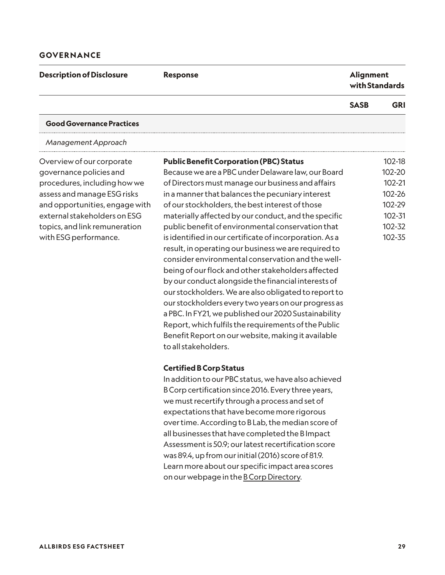#### **GOVERNANCE**

| <b>Description of Disclosure</b> | <b>Response</b>                                         | <b>Alignment</b><br>with Standards |            |
|----------------------------------|---------------------------------------------------------|------------------------------------|------------|
|                                  |                                                         | <b>SASB</b>                        | <b>GRI</b> |
| <b>Good Governance Practices</b> |                                                         |                                    |            |
| Management Approach              |                                                         |                                    |            |
| Overview of our corporate        | <b>Public Benefit Corporation (PBC) Status</b>          |                                    | 102-18     |
| governance policies and          | Because we are a PBC under Delaware law, our Board      |                                    | 102-20     |
| procedures, including how we     | of Directors must manage our business and affairs       |                                    | 102-21     |
| assess and manage ESG risks      | in a manner that balances the pecuniary interest        |                                    | 102-26     |
| and opportunities, engage with   | of our stockholders, the best interest of those         |                                    | 102-29     |
| external stakeholders on ESG     | materially affected by our conduct, and the specific    |                                    | 102-31     |
| topics, and link remuneration    | public benefit of environmental conservation that       |                                    | 102-32     |
| with ESG performance.            | is identified in our certificate of incorporation. As a |                                    | 102-35     |
|                                  | result, in operating our business we are required to    |                                    |            |
|                                  | consider environmental conservation and the well-       |                                    |            |
|                                  | being of our flock and other stakeholders affected      |                                    |            |
|                                  |                                                         |                                    |            |

by our conduct alongside the financial interests of our stockholders. We are also obligated to report to our stockholders every two years on our progress as a PBC. In FY21, we published our 2020 Sustainability Report, which fulfils the requirements of the Public Benefit Report on our website, making it available to all stakeholders.

#### **Certified B Corp Status**

In addition to our PBC status, we have also achieved B Corp certification since 2016. Every three years, we must recertify through a process and set of expectations that have become more rigorous over time. According to B Lab, the median score of all businesses that have completed the B Impact Assessment is 50.9; our latest recertification score was 89.4, up from our initial (2016) score of 81.9. Learn more about our specific impact area scores on our webpage in the [B Corp Directory](https://bcorporation.net/directory/allbirds-inc).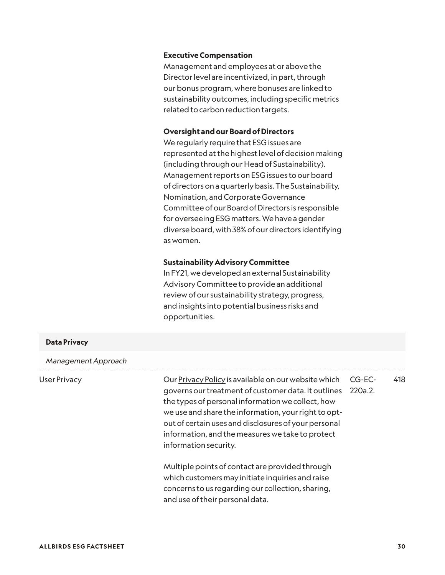#### **Executive Compensation**

Management and employees at or above the Director level are incentivized, in part, through our bonus program, where bonuses are linked to sustainability outcomes, including specific metrics related to carbon reduction targets.

#### **Oversight and our Board of Directors**

We regularly require that ESG issues are represented at the highest level of decision making (including through our Head of Sustainability). Management reports on ESG issues to our board of directors on a quarterly basis. The Sustainability, Nomination, and Corporate Governance Committee of our Board of Directors is responsible for overseeing ESG matters. We have a gender diverse board, with 38% of our directors identifying as women.

#### **Sustainability Advisory Committee**

In FY21, we developed an external Sustainability Advisory Committee to provide an additional review of our sustainability strategy, progress, and insights into potential business risks and opportunities.

| <b>Data Privacy</b> |                                                                                                                                                                                                                                                                                                                                                               |                   |     |
|---------------------|---------------------------------------------------------------------------------------------------------------------------------------------------------------------------------------------------------------------------------------------------------------------------------------------------------------------------------------------------------------|-------------------|-----|
| Management Approach |                                                                                                                                                                                                                                                                                                                                                               |                   |     |
| <b>User Privacy</b> | Our Privacy Policy is available on our website which<br>governs our treatment of customer data. It outlines<br>the types of personal information we collect, how<br>we use and share the information, your right to opt-<br>out of certain uses and disclosures of your personal<br>information, and the measures we take to protect<br>information security. | CG-EC-<br>220a.2. | 418 |
|                     | Multiple points of contact are provided through<br>which customers may initiate inquiries and raise<br>concerns to us regarding our collection, sharing,<br>and use of their personal data.                                                                                                                                                                   |                   |     |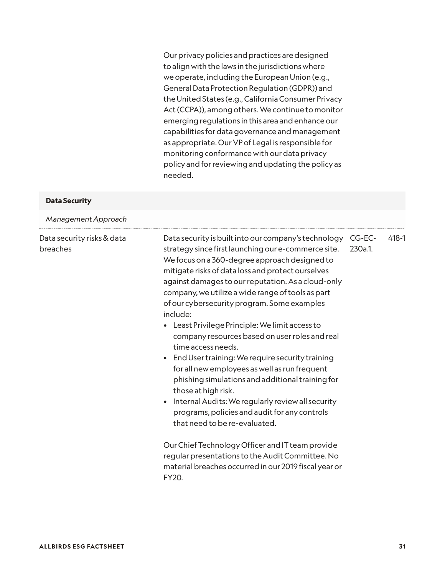Our privacy policies and practices are designed to align with the laws in the jurisdictions where we operate, including the European Union (e.g., General Data Protection Regulation (GDPR)) and the United States (e.g., California Consumer Privacy Act (CCPA)), among others. We continue to monitor emerging regulations in this area and enhance our capabilities for data governance and management as appropriate. Our VP of Legal is responsible for monitoring conformance with our data privacy policy and for reviewing and updating the policy as needed.

| <b>Data Security</b>                   |                                                                                                                                                                                                                                                                                                                                                                                                                                                                                                                                                                                                                                                                                                                                                                                                                                                                                                         |                   |           |
|----------------------------------------|---------------------------------------------------------------------------------------------------------------------------------------------------------------------------------------------------------------------------------------------------------------------------------------------------------------------------------------------------------------------------------------------------------------------------------------------------------------------------------------------------------------------------------------------------------------------------------------------------------------------------------------------------------------------------------------------------------------------------------------------------------------------------------------------------------------------------------------------------------------------------------------------------------|-------------------|-----------|
| Management Approach                    |                                                                                                                                                                                                                                                                                                                                                                                                                                                                                                                                                                                                                                                                                                                                                                                                                                                                                                         |                   |           |
| Data security risks & data<br>breaches | Data security is built into our company's technology<br>strategy since first launching our e-commerce site.<br>We focus on a 360-degree approach designed to<br>mitigate risks of data loss and protect ourselves<br>against damages to our reputation. As a cloud-only<br>company, we utilize a wide range of tools as part<br>of our cybersecurity program. Some examples<br>include:<br>Least Privilege Principle: We limit access to<br>company resources based on user roles and real<br>time access needs.<br>End User training: We require security training<br>$\bullet$<br>for all new employees as well as run frequent<br>phishing simulations and additional training for<br>those at high risk.<br>Internal Audits: We regularly review all security<br>programs, policies and audit for any controls<br>that need to be re-evaluated.<br>Our Chief Technology Officer and IT team provide | CG-EC-<br>230a.1. | $418 - 1$ |
|                                        | regular presentations to the Audit Committee. No<br>material breaches occurred in our 2019 fiscal year or<br>FY20.                                                                                                                                                                                                                                                                                                                                                                                                                                                                                                                                                                                                                                                                                                                                                                                      |                   |           |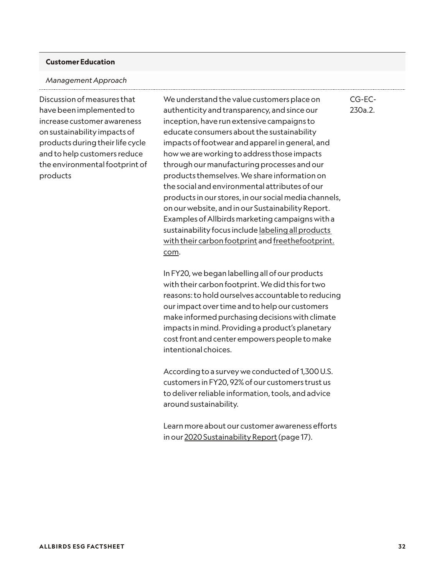#### **Customer Education**

#### *Management Approach*

Discussion of measures that have been implemented to increase customer awareness on sustainability impacts of products during their life cycle and to help customers reduce the environmental footprint of products

We understand the value customers place on authenticity and transparency, and since our inception, have run extensive campaigns to educate consumers about the sustainability impacts of footwear and apparel in general, and how we are working to address those impacts through our manufacturing processes and our products themselves. We share information on the social and environmental attributes of our products in our stores, in our social media channels, on our website, and in our Sustainability Report. Examples of Allbirds marketing campaigns with a sustainability focus include labeling all products [with their carbon footprint](https://www.allbirds.com/pages/footprint) and [freethefootprint.](http://www.freethefootprint.com/) [com](http://www.freethefootprint.com/).

In FY20, we began labelling all of our products with their carbon footprint. We did this for two reasons: to hold ourselves accountable to reducing our impact over time and to help our customers make informed purchasing decisions with climate impacts in mind. Providing a product's planetary cost front and center empowers people to make intentional choices.

According to a survey we conducted of 1,300 U.S. customers in FY20, 92% of our customers trust us to deliver reliable information, tools, and advice around sustainability.

Learn more about our customer awareness efforts in our [2020 Sustainability Report](https://cdn.allbirds.com/image/upload/v1625161698/marketing-pages/Allbirds_Sustainability_Report_2020.pdf) (page 17).

CG-EC-230a.2.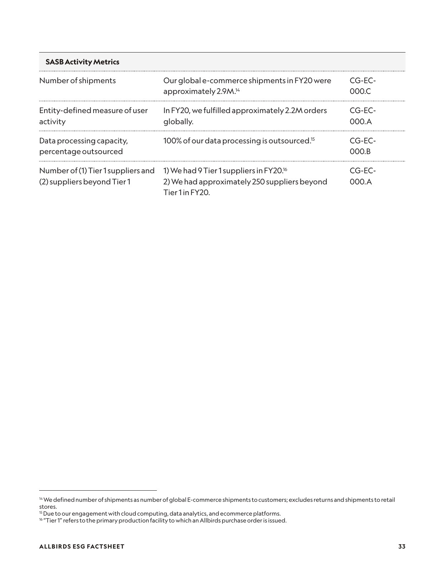| <b>SASB Activity Metrics</b>                                      |                                                                                                                      |                   |  |
|-------------------------------------------------------------------|----------------------------------------------------------------------------------------------------------------------|-------------------|--|
| Number of shipments                                               | Our global e-commerce shipments in FY20 were<br>approximately 2.9M. <sup>14</sup>                                    | $CG-FC-$<br>000.C |  |
| Entity-defined measure of user<br>activity                        | In FY20, we fulfilled approximately 2.2M orders<br>globally.                                                         | $CG-FC-$<br>000A  |  |
| Data processing capacity,<br>percentage outsourced                | 100% of our data processing is outsourced. <sup>15</sup>                                                             | $CG-FC-$<br>OOO B |  |
| Number of (1) Tier 1 suppliers and<br>(2) suppliers beyond Tier 1 | 1) We had 9 Tier 1 suppliers in FY20. <sup>16</sup><br>2) We had approximately 250 suppliers beyond<br>Tier1in FY20. | CG-FC-<br>MMA A   |  |

<sup>14</sup> We defined number of shipments as number of global E-commerce shipments to customers; excludes returns and shipments to retail stores.

 $^{\rm 15}$  Due to our engagement with cloud computing, data analytics, and ecommerce platforms.

 $^{16}$  "Tier 1" refers to the primary production facility to which an Allbirds purchase order is issued.